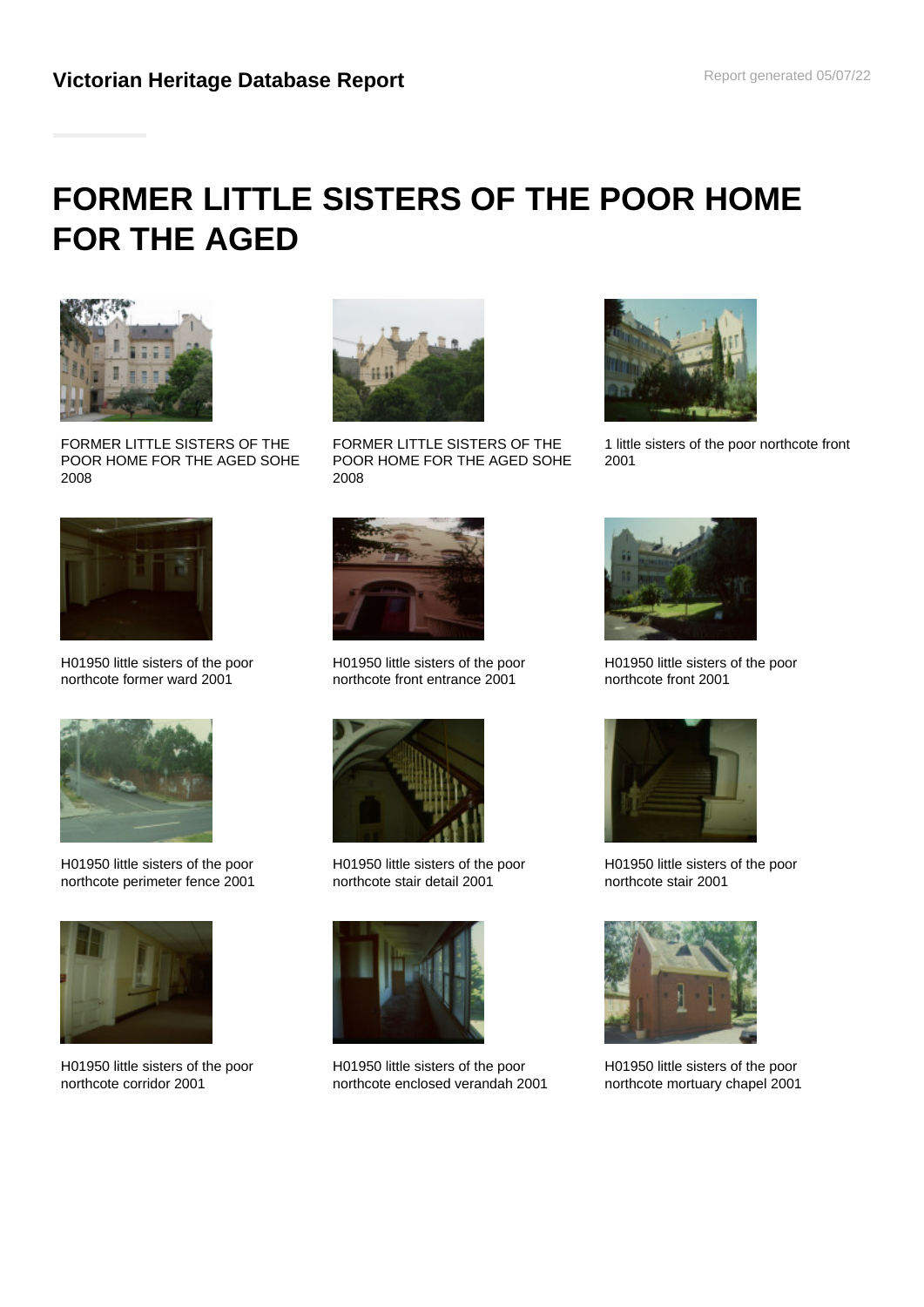# **FORMER LITTLE SISTERS OF THE POOR HOME FOR THE AGED**



FORMER LITTLE SISTERS OF THE POOR HOME FOR THE AGED SOHE 2008



FORMER LITTLE SISTERS OF THE POOR HOME FOR THE AGED SOHE 2008



1 little sisters of the poor northcote front 2001



H01950 little sisters of the poor northcote former ward 2001



H01950 little sisters of the poor northcote perimeter fence 2001



H01950 little sisters of the poor northcote corridor 2001



H01950 little sisters of the poor northcote front entrance 2001



H01950 little sisters of the poor northcote stair detail 2001



H01950 little sisters of the poor northcote enclosed verandah 2001



H01950 little sisters of the poor northcote front 2001



H01950 little sisters of the poor northcote stair 2001



H01950 little sisters of the poor northcote mortuary chapel 2001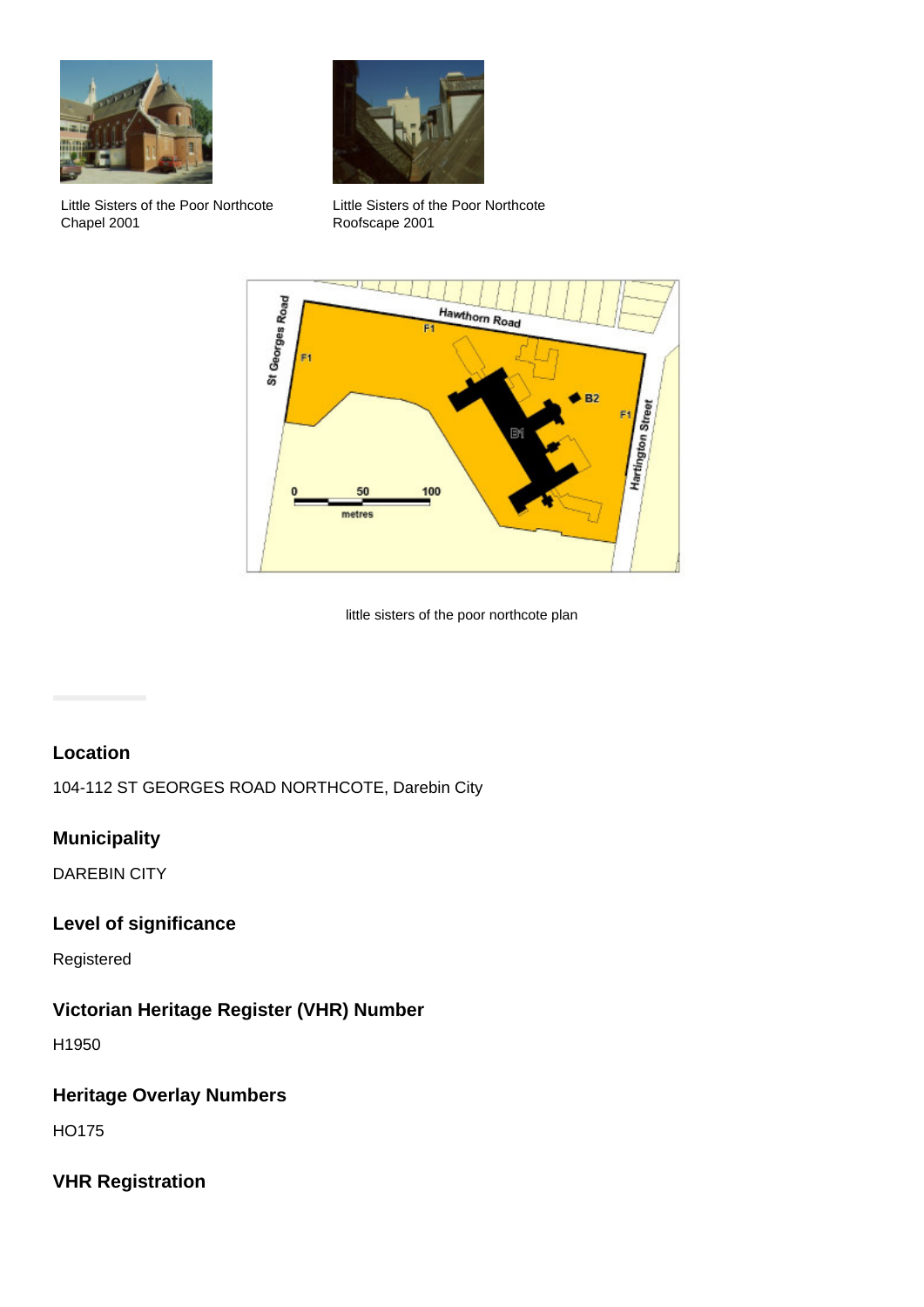

Little Sisters of the Poor Northcote Chapel 2001



Little Sisters of the Poor Northcote Roofscape 2001



little sisters of the poor northcote plan

# **Location**

104-112 ST GEORGES ROAD NORTHCOTE, Darebin City

# **Municipality**

DAREBIN CITY

#### **Level of significance**

Registered

#### **Victorian Heritage Register (VHR) Number**

H1950

# **Heritage Overlay Numbers**

HO175

# **VHR Registration**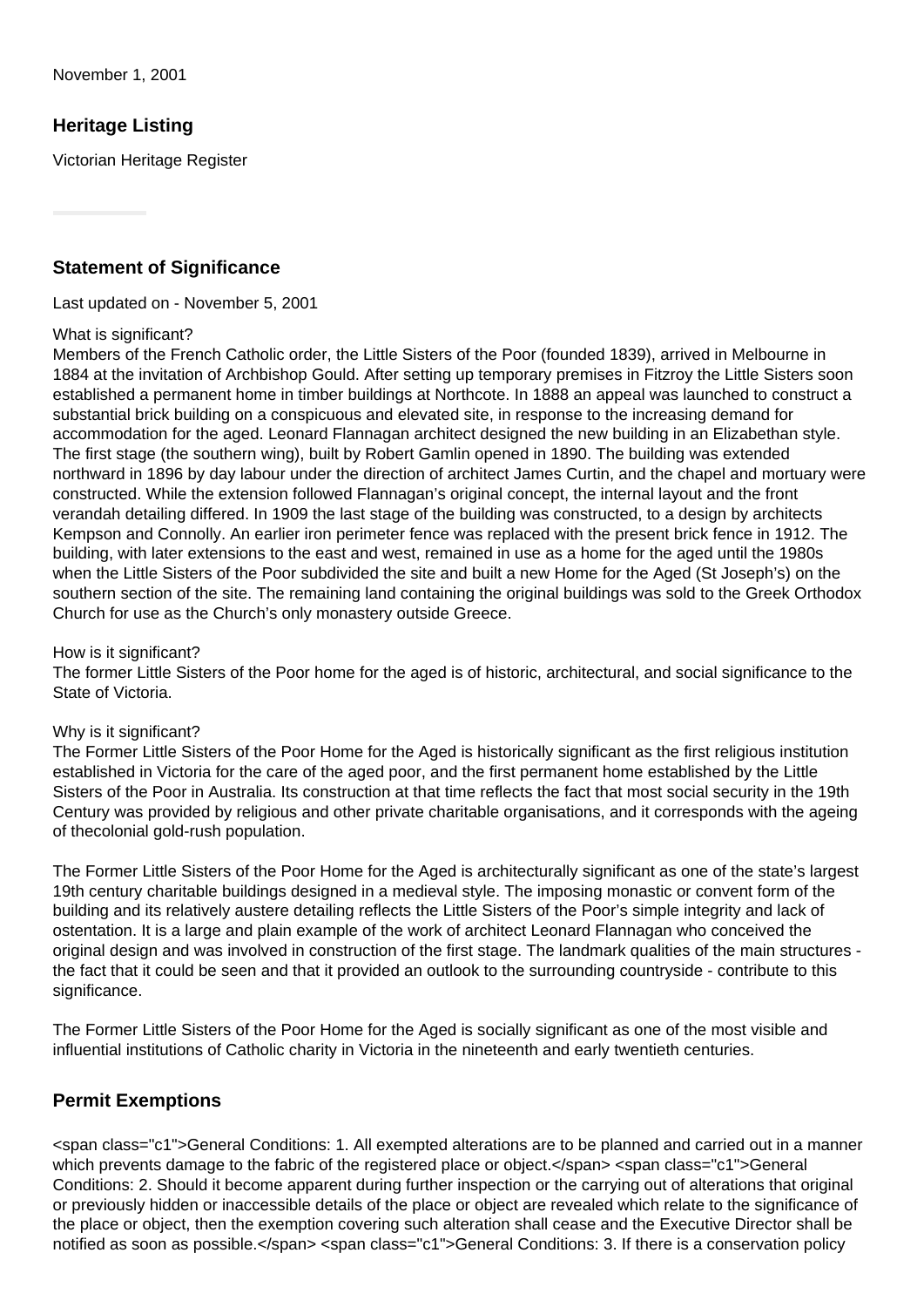## **Heritage Listing**

Victorian Heritage Register

#### **Statement of Significance**

Last updated on - November 5, 2001

#### What is significant?

Members of the French Catholic order, the Little Sisters of the Poor (founded 1839), arrived in Melbourne in 1884 at the invitation of Archbishop Gould. After setting up temporary premises in Fitzroy the Little Sisters soon established a permanent home in timber buildings at Northcote. In 1888 an appeal was launched to construct a substantial brick building on a conspicuous and elevated site, in response to the increasing demand for accommodation for the aged. Leonard Flannagan architect designed the new building in an Elizabethan style. The first stage (the southern wing), built by Robert Gamlin opened in 1890. The building was extended northward in 1896 by day labour under the direction of architect James Curtin, and the chapel and mortuary were constructed. While the extension followed Flannagan's original concept, the internal layout and the front verandah detailing differed. In 1909 the last stage of the building was constructed, to a design by architects Kempson and Connolly. An earlier iron perimeter fence was replaced with the present brick fence in 1912. The building, with later extensions to the east and west, remained in use as a home for the aged until the 1980s when the Little Sisters of the Poor subdivided the site and built a new Home for the Aged (St Joseph's) on the southern section of the site. The remaining land containing the original buildings was sold to the Greek Orthodox Church for use as the Church's only monastery outside Greece.

#### How is it significant?

The former Little Sisters of the Poor home for the aged is of historic, architectural, and social significance to the State of Victoria.

#### Why is it significant?

The Former Little Sisters of the Poor Home for the Aged is historically significant as the first religious institution established in Victoria for the care of the aged poor, and the first permanent home established by the Little Sisters of the Poor in Australia. Its construction at that time reflects the fact that most social security in the 19th Century was provided by religious and other private charitable organisations, and it corresponds with the ageing of thecolonial gold-rush population.

The Former Little Sisters of the Poor Home for the Aged is architecturally significant as one of the state's largest 19th century charitable buildings designed in a medieval style. The imposing monastic or convent form of the building and its relatively austere detailing reflects the Little Sisters of the Poor's simple integrity and lack of ostentation. It is a large and plain example of the work of architect Leonard Flannagan who conceived the original design and was involved in construction of the first stage. The landmark qualities of the main structures the fact that it could be seen and that it provided an outlook to the surrounding countryside - contribute to this significance.

The Former Little Sisters of the Poor Home for the Aged is socially significant as one of the most visible and influential institutions of Catholic charity in Victoria in the nineteenth and early twentieth centuries.

#### **Permit Exemptions**

<span class="c1">General Conditions: 1. All exempted alterations are to be planned and carried out in a manner which prevents damage to the fabric of the registered place or object.</span> <span class="c1">General Conditions: 2. Should it become apparent during further inspection or the carrying out of alterations that original or previously hidden or inaccessible details of the place or object are revealed which relate to the significance of the place or object, then the exemption covering such alteration shall cease and the Executive Director shall be notified as soon as possible.</span> <span class="c1">General Conditions: 3. If there is a conservation policy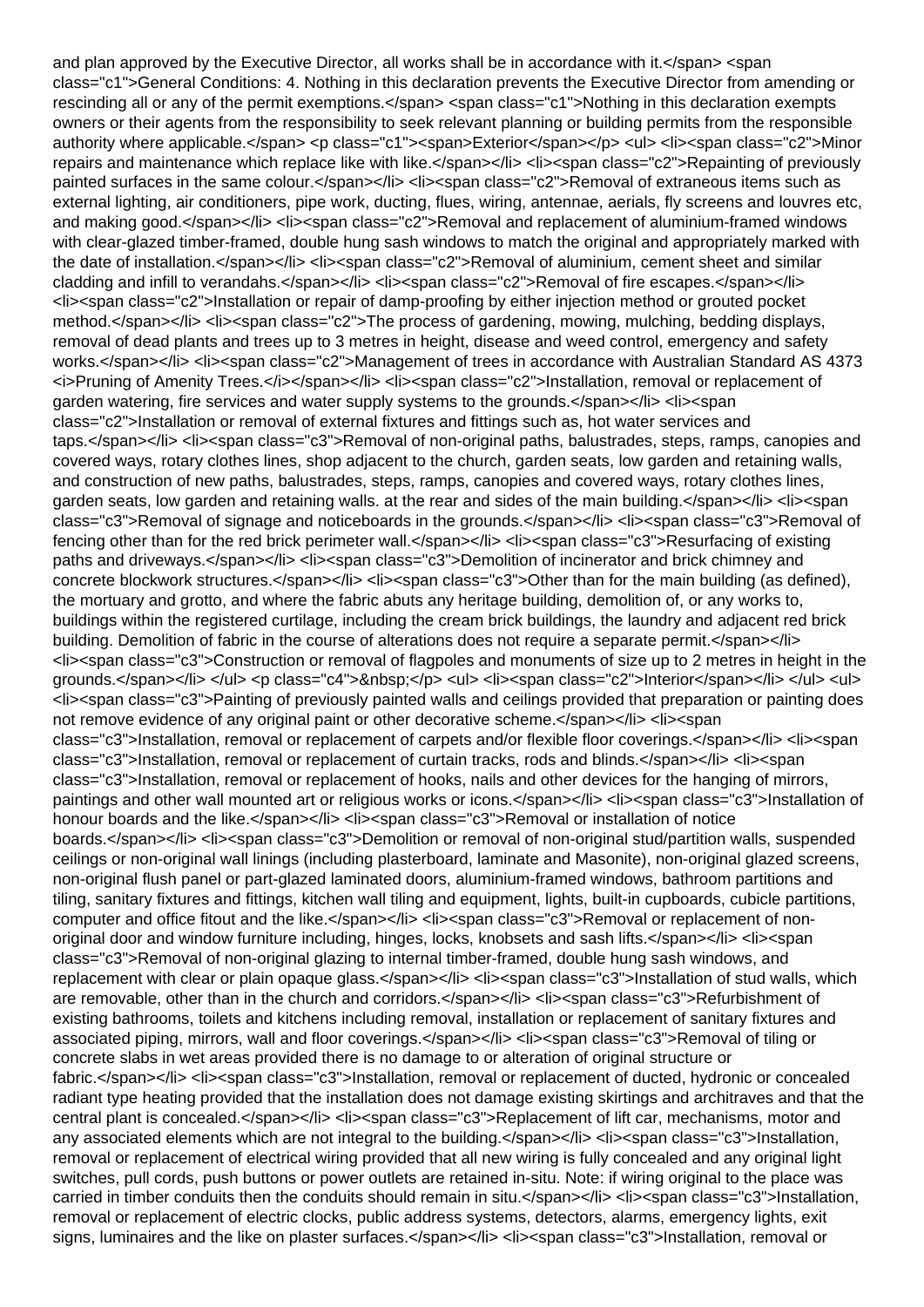and plan approved by the Executive Director, all works shall be in accordance with it.</span> <span class="c1">General Conditions: 4. Nothing in this declaration prevents the Executive Director from amending or rescinding all or any of the permit exemptions.</span> <span class="c1">Nothing in this declaration exempts owners or their agents from the responsibility to seek relevant planning or building permits from the responsible authority where applicable.</span> <p class="c1"><span>Exterior</span></p><ul> <li><span class="c2">Minor repairs and maintenance which replace like with like.</span></li><l>><li><li><span class="c2">Repainting of previously painted surfaces in the same colour.</span></li><li><span class="c2">Removal of extraneous items such as external lighting, air conditioners, pipe work, ducting, flues, wiring, antennae, aerials, fly screens and louvres etc, and making good.</span></li> <li><span class="c2">Removal and replacement of aluminium-framed windows with clear-glazed timber-framed, double hung sash windows to match the original and appropriately marked with the date of installation.</span></li><li><span class="c2">Removal of aluminium, cement sheet and similar cladding and infill to verandahs.</span></li></span class="c2">Removal of fire escapes.</span></li> <li><span class="c2">Installation or repair of damp-proofing by either injection method or grouted pocket method.</span></li> <li><span class="c2">The process of gardening, mowing, mulching, bedding displays, removal of dead plants and trees up to 3 metres in height, disease and weed control, emergency and safety works.</span></li> <li><span class="c2">Management of trees in accordance with Australian Standard AS 4373 <i>Pruning of Amenity Trees.</i></span></li><li><span class="c2">Installation, removal or replacement of garden watering, fire services and water supply systems to the grounds.</span></li> <li><span class="c2">Installation or removal of external fixtures and fittings such as, hot water services and taps.</span></li> <li><span class="c3">Removal of non-original paths, balustrades, steps, ramps, canopies and covered ways, rotary clothes lines, shop adjacent to the church, garden seats, low garden and retaining walls, and construction of new paths, balustrades, steps, ramps, canopies and covered ways, rotary clothes lines, garden seats, low garden and retaining walls. at the rear and sides of the main building.</span></li> <li><span class="c3">Removal of signage and noticeboards in the grounds.</span></li> <li><span class="c3">Removal of fencing other than for the red brick perimeter wall.</span></li><l>><l>>span class="c3">Resurfacing of existing paths and driveways.</span></li><li><span class="c3">Demolition of incinerator and brick chimney and concrete blockwork structures.</span></li><li><span class="c3">Other than for the main building (as defined), the mortuary and grotto, and where the fabric abuts any heritage building, demolition of, or any works to, buildings within the registered curtilage, including the cream brick buildings, the laundry and adjacent red brick building. Demolition of fabric in the course of alterations does not require a separate permit.</span></li> <li><span class="c3">Construction or removal of flagpoles and monuments of size up to 2 metres in height in the grounds.</span></li> </ul> <p class="c4">&nbsp;</p> <ul> <li><span class="c2">Interior</span></li> </ul> <ul> <li><span class="c3">Painting of previously painted walls and ceilings provided that preparation or painting does not remove evidence of any original paint or other decorative scheme.</span></li> <li><span class="c3">Installation, removal or replacement of carpets and/or flexible floor coverings.</span></li> <li><span class="c3">Installation, removal or replacement of curtain tracks, rods and blinds.</span></li> <li><span class="c3">Installation, removal or replacement of hooks, nails and other devices for the hanging of mirrors, paintings and other wall mounted art or religious works or icons.</span></li><li><span class="c3">Installation of honour boards and the like.</span></li><li><span class="c3">Removal or installation of notice boards.</span></li> <li><span class="c3">Demolition or removal of non-original stud/partition walls, suspended ceilings or non-original wall linings (including plasterboard, laminate and Masonite), non-original glazed screens, non-original flush panel or part-glazed laminated doors, aluminium-framed windows, bathroom partitions and tiling, sanitary fixtures and fittings, kitchen wall tiling and equipment, lights, built-in cupboards, cubicle partitions, computer and office fitout and the like.</span></li><li><span class="c3">Removal or replacement of nonoriginal door and window furniture including, hinges, locks, knobsets and sash lifts.</span></li><li><span class="c3">Removal of non-original glazing to internal timber-framed, double hung sash windows, and replacement with clear or plain opaque glass.</span></li><l>></span class="c3">Installation of stud walls, which are removable, other than in the church and corridors.</span></li><li><span class="c3">Refurbishment of existing bathrooms, toilets and kitchens including removal, installation or replacement of sanitary fixtures and associated piping, mirrors, wall and floor coverings.</span></li><li><span class="c3">Removal of tiling or concrete slabs in wet areas provided there is no damage to or alteration of original structure or fabric.</span></li> <li><span class="c3">Installation, removal or replacement of ducted, hydronic or concealed radiant type heating provided that the installation does not damage existing skirtings and architraves and that the central plant is concealed.</span></li><li>>span class="c3">Replacement of lift car, mechanisms, motor and any associated elements which are not integral to the building.</span></li><li><span class="c3">Installation, removal or replacement of electrical wiring provided that all new wiring is fully concealed and any original light switches, pull cords, push buttons or power outlets are retained in-situ. Note: if wiring original to the place was carried in timber conduits then the conduits should remain in situ.</span></li><li><span class="c3">Installation, removal or replacement of electric clocks, public address systems, detectors, alarms, emergency lights, exit signs, luminaires and the like on plaster surfaces.</span></li><li><span class="c3">Installation, removal or